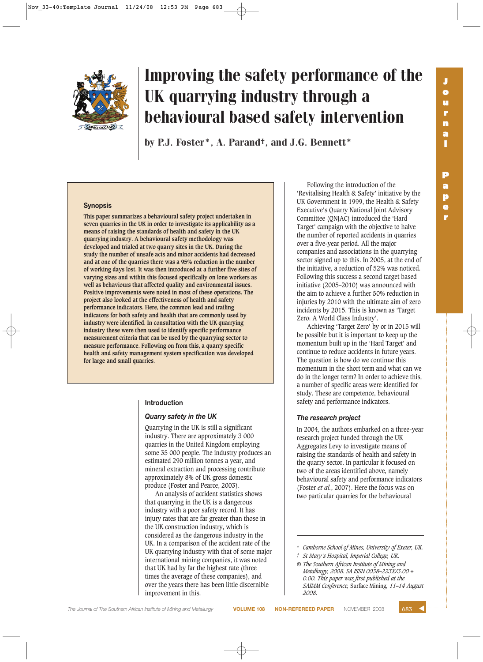

**r**



# Improving the safety performance of the UK quarrying industry through a behavioural based safety intervention

by P.J. Foster\*, A. Parand†, and J.G. Bennett\*

#### **Synopsis**

**This paper summarizes a behavioural safety project undertaken in seven quarries in the UK in order to investigate its applicability as a means of raising the standards of health and safety in the UK quarrying industry. A behavioural safety methodology was developed and trialed at two quarry sites in the UK. During the study the number of unsafe acts and minor accidents had decreased and at one of the quarries there was a 95% reduction in the number of working days lost. It was then introduced at a further five sites of varying sizes and within this focused specifically on lone workers as well as behaviours that affected quality and environmental issues. Positive improvements were noted in most of these operations. The project also looked at the effectiveness of health and safety performance indicators. Here, the common lead and trailing indicators for both safety and health that are commonly used by industry were identified. In consultation with the UK quarrying industry these were then used to identify specific performance measurement criteria that can be used by the quarrying sector to measure performance. Following on from this, a quarry specific health and safety management system specification was developed for large and small quarries.** 

#### **Introduction**

#### *Quarry safety in the UK*

Quarrying in the UK is still a significant industry. There are approximately 3 000 quarries in the United Kingdom employing some 35 000 people. The industry produces an estimated 290 million tonnes a year, and mineral extraction and processing contribute approximately 8% of UK gross domestic produce (Foster and Pearce, 2003).

An analysis of accident statistics shows that quarrying in the UK is a dangerous industry with a poor safety record. It has injury rates that are far greater than those in the UK construction industry, which is considered as the dangerous industry in the UK. In a comparison of the accident rate of the UK quarrying industry with that of some major international mining companies, it was noted that UK had by far the highest rate (three times the average of these companies), and over the years there has been little discernible improvement in this.

Following the introduction of the 'Revitalising Health & Safety' initiative by the UK Government in 1999, the Health & Safety Executive's Quarry National Joint Advisory Committee (QNJAC) introduced the 'Hard Target' campaign with the objective to halve the number of reported accidents in quarries over a five-year period. All the major companies and associations in the quarrying sector signed up to this. In 2005, at the end of the initiative, a reduction of 52% was noticed. Following this success a second target based initiative (2005–2010) was announced with the aim to achieve a further 50% reduction in injuries by 2010 with the ultimate aim of zero incidents by 2015. This is known as 'Target Zero: A World Class Industry'.

Achieving 'Target Zero' by or in 2015 will be possible but it is important to keep up the momentum built up in the 'Hard Target' and continue to reduce accidents in future years. The question is how do we continue this momentum in the short term and what can we do in the longer term? In order to achieve this, a number of specific areas were identified for study. These are competence, behavioural safety and performance indicators.

#### *The research project*

In 2004, the authors embarked on a three-year research project funded through the UK Aggregates Levy to investigate means of raising the standards of health and safety in the quarry sector. In particular it focused on two of the areas identified above, namely behavioural safety and performance indicators (Foster *et al.*, 2007). Here the focus was on two particular quarries for the behavioural

Camborne School of Mines, University of Exeter, UK.

- *† St Mary's Hospital, Imperial College, UK.*
- *© The Southern African Institute of Mining and Metallurgy, 2008. SA ISSN 0038–223X/3.00 + 0.00. This paper was first published at the SAIMM Conference,* Surface Mining*, 11–14 August 2008.*

**The Journal of The Southern African Institute of Mining and Metallurgy <b>VOLUME 108 NON-REFEREED PAPER** NOVEMBER 2008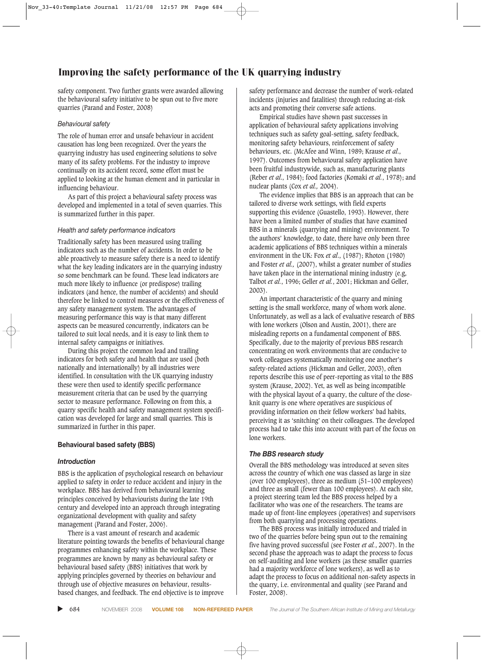safety component. Two further grants were awarded allowing the behavioural safety initiative to be spun out to five more quarries (Parand and Foster, 2008)

#### *Behavioural safety*

The role of human error and unsafe behaviour in accident causation has long been recognized. Over the years the quarrying industry has used engineering solutions to solve many of its safety problems. For the industry to improve continually on its accident record, some effort must be applied to looking at the human element and in particular in influencing behaviour.

As part of this project a behavioural safety process was developed and implemented in a total of seven quarries. This is summarized further in this paper.

#### *Health and safety performance indicators*

Traditionally safety has been measured using trailing indicators such as the number of accidents. In order to be able proactively to measure safety there is a need to identify what the key leading indicators are in the quarrying industry so some benchmark can be found. These lead indicators are much more likely to influence (or predispose) trailing indicators (and hence, the number of accidents) and should therefore be linked to control measures or the effectiveness of any safety management system. The advantages of measuring performance this way is that many different aspects can be measured concurrently, indicators can be tailored to suit local needs, and it is easy to link them to internal safety campaigns or initiatives.

During this project the common lead and trailing indicators for both safety and health that are used (both nationally and internationally) by all industries were identified. In consultation with the UK quarrying industry these were then used to identify specific performance measurement criteria that can be used by the quarrying sector to measure performance. Following on from this, a quarry specific health and safety management system specification was developed for large and small quarries. This is summarized in further in this paper.

#### **Behavioural based safety (BBS)**

#### *Introduction*

BBS is the application of psychological research on behaviour applied to safety in order to reduce accident and injury in the workplace. BBS has derived from behavioural learning principles conceived by behaviourists during the late 19th century and developed into an approach through integrating organizational development with quality and safety management (Parand and Foster, 2006).

There is a vast amount of research and academic literature pointing towards the benefits of behavioural change programmes enhancing safety within the workplace. These programmes are known by many as behavioural safety or behavioural based safety (BBS) initiatives that work by applying principles governed by theories on behaviour and through use of objective measures on behaviour, resultsbased changes, and feedback. The end objective is to improve safety performance and decrease the number of work-related incidents (injuries and fatalities) through reducing at-risk acts and promoting their converse safe actions.

Empirical studies have shown past successes in application of behavioural safety applications involving techniques such as safety goal-setting, safety feedback, monitoring safety behaviours, reinforcement of safety behaviours, etc. (McAfee and Winn, 1989; Krause *et al*., 1997). Outcomes from behavioural safety application have been fruitful industrywide, such as, manufacturing plants (Reber *et al*., 1984); food factories (Komaki *et al.*, 1978); and nuclear plants (Cox *et al.,* 2004).

The evidence implies that BBS is an approach that can be tailored to diverse work settings, with field experts supporting this evidence (Guastello, 1993). However, there have been a limited number of studies that have examined BBS in a minerals (quarrying and mining) environment. To the authors' knowledge, to date, there have only been three academic applications of BBS techniques within a minerals environment in the UK: Fox *et al*., (1987); Rhoton (1980) and Foster *et al.,* (2007), whilst a greater number of studies have taken place in the international mining industry (e.g, Talbot *et al.*, 1996; Geller *et al.*, 2001; Hickman and Geller, 2003).

An important characteristic of the quarry and mining setting is the small workforce, many of whom work alone. Unfortunately, as well as a lack of evaluative research of BBS with lone workers (Olson and Austin, 2001), there are misleading reports on a fundamental component of BBS. Specifically, due to the majority of previous BBS research concentrating on work environments that are conducive to work colleagues systematically monitoring one another's safety-related actions (Hickman and Geller, 2003), often reports describe this use of peer-reporting as vital to the BBS system (Krause, 2002). Yet, as well as being incompatible with the physical layout of a quarry, the culture of the closeknit quarry is one where operatives are suspicious of providing information on their fellow workers' bad habits, perceiving it as 'snitching' on their colleagues. The developed process had to take this into account with part of the focus on lone workers.

#### *The BBS research study*

Overall the BBS methodology was introduced at seven sites across the country of which one was classed as large in size (over 100 employees), three as medium (51–100 employees) and three as small (fewer than 100 employees). At each site, a project steering team led the BBS process helped by a facilitator who was one of the researchers. The teams are made up of front-line employees (operatives) and supervisors from both quarrying and processing operations.

The BBS process was initially introduced and trialed in two of the quarries before being spun out to the remaining five having proved successful (see Foster *et al.*, 2007). In the second phase the approach was to adapt the process to focus on self-auditing and lone workers (as these smaller quarries had a majority workforce of lone workers), as well as to adapt the process to focus on additional non-safety aspects in the quarry, i.e. environmental and quality (see Parand and Foster, 2008).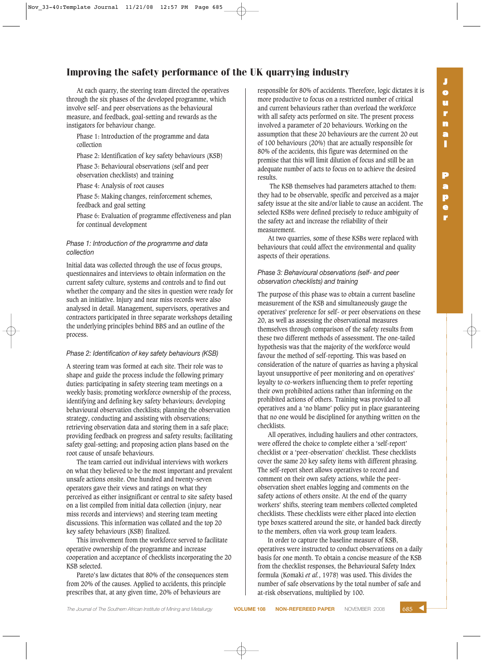At each quarry, the steering team directed the operatives through the six phases of the developed programme, which involve self- and peer observations as the behavioural measure, and feedback, goal-setting and rewards as the instigators for behaviour change.

Phase 1: Introduction of the programme and data collection

Phase 2: Identification of key safety behaviours (KSB)

Phase 3: Behavioural observations (self and peer observation checklists) and training

Phase 4: Analysis of root causes

Phase 5: Making changes, reinforcement schemes, feedback and goal setting

Phase 6: Evaluation of programme effectiveness and plan for continual development

# *Phase 1: Introduction of the programme and data collection*

Initial data was collected through the use of focus groups, questionnaires and interviews to obtain information on the current safety culture, systems and controls and to find out whether the company and the sites in question were ready for such an initiative. Injury and near miss records were also analysed in detail. Management, supervisors, operatives and contractors participated in three separate workshops detailing the underlying principles behind BBS and an outline of the process.

# *Phase 2: Identification of key safety behaviours (KSB)*

A steering team was formed at each site. Their role was to shape and guide the process include the following primary duties: participating in safety steering team meetings on a weekly basis; promoting workforce ownership of the process, identifying and defining key safety behaviours; developing behavioural observation checklists; planning the observation strategy, conducting and assisting with observations; retrieving observation data and storing them in a safe place; providing feedback on progress and safety results; facilitating safety goal-setting; and proposing action plans based on the root cause of unsafe behaviours.

The team carried out individual interviews with workers on what they believed to be the most important and prevalent unsafe actions onsite. One hundred and twenty-seven operators gave their views and ratings on what they perceived as either insignificant or central to site safety based on a list compiled from initial data collection (injury, near miss records and interviews) and steering team meeting discussions. This information was collated and the top 20 key safety behaviours (KSB) finalized.

This involvement from the workforce served to facilitate operative ownership of the programme and increase cooperation and acceptance of checklists incorporating the 20 KSB selected.

Pareto's law dictates that 80% of the consequences stem from 20% of the causes. Applied to accidents, this principle prescribes that, at any given time, 20% of behaviours are

responsible for 80% of accidents. Therefore, logic dictates it is more productive to focus on a restricted number of critical and current behaviours rather than overload the workforce with all safety acts performed on site. The present process involved a parameter of 20 behaviours. Working on the assumption that these 20 behaviours are the current 20 out of 100 behaviours (20%) that are actually responsible for 80% of the accidents, this figure was determined on the premise that this will limit dilution of focus and still be an adequate number of acts to focus on to achieve the desired results.

The KSB themselves had parameters attached to them: they had to be observable, specific and perceived as a major safety issue at the site and/or liable to cause an accident. The selected KSBs were defined precisely to reduce ambiguity of the safety act and increase the reliability of their measurement.

At two quarries, some of these KSBs were replaced with behaviours that could affect the environmental and quality aspects of their operations.

# *Phase 3: Behavioural observations (self- and peer observation checklists) and training*

The purpose of this phase was to obtain a current baseline measurement of the KSB and simultaneously gauge the operatives' preference for self- or peer observations on these 20, as well as assessing the observational measures themselves through comparison of the safety results from these two different methods of assessment. The one-tailed hypothesis was that the majority of the workforce would favour the method of self-reporting. This was based on consideration of the nature of quarries as having a physical layout unsupportive of peer monitoring and on operatives' loyalty to co-workers influencing them to prefer reporting their own prohibited actions rather than informing on the prohibited actions of others. Training was provided to all operatives and a 'no blame' policy put in place guaranteeing that no one would be disciplined for anything written on the checklists.

All operatives, including hauliers and other contractors, were offered the choice to complete either a 'self-report' checklist or a 'peer-observation' checklist. These checklists cover the same 20 key safety items with different phrasing. The self-report sheet allows operatives to record and comment on their own safety actions, while the peerobservation sheet enables logging and comments on the safety actions of others onsite. At the end of the quarry workers' shifts, steering team members collected completed checklists. These checklists were either placed into election type boxes scattered around the site, or handed back directly to the members, often via work group team leaders.

In order to capture the baseline measure of KSB, operatives were instructed to conduct observations on a daily basis for one month. To obtain a concise measure of the KSB from the checklist responses, the Behavioural Safety Index formula (Komaki *et al.*, 1978) was used. This divides the number of safe observations by the total number of safe and at-risk observations, multiplied by 100.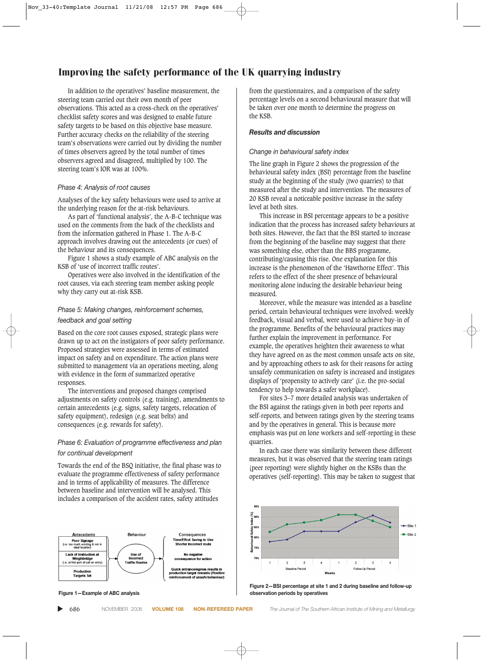In addition to the operatives' baseline measurement, the steering team carried out their own month of peer observations. This acted as a cross-check on the operatives' checklist safety scores and was designed to enable future safety targets to be based on this objective base measure. Further accuracy checks on the reliability of the steering team's observations were carried out by dividing the number of times observers agreed by the total number of times observers agreed and disagreed, multiplied by 100. The steering team's IOR was at 100%.

#### *Phase 4: Analysis of root causes*

Analyses of the key safety behaviours were used to arrive at the underlying reason for the at-risk behaviours.

As part of 'functional analysis', the A-B-C technique was used on the comments from the back of the checklists and from the information gathered in Phase 1. The A-B-C approach involves drawing out the antecedents (or cues) of the behaviour and its consequences.

Figure 1 shows a study example of ABC analysis on the KSB of 'use of incorrect traffic routes'.

Operatives were also involved in the identification of the root causes, via each steering team member asking people why they carry out at-risk KSB.

# *Phase 5: Making changes, reinforcement schemes, feedback and goal setting*

Based on the core root causes exposed, strategic plans were drawn up to act on the instigators of poor safety performance. Proposed strategies were assessed in terms of estimated impact on safety and on expenditure. The action plans were submitted to management via an operations meeting, along with evidence in the form of summarized operative responses.

The interventions and proposed changes comprised adjustments on safety controls (e.g. training), amendments to certain antecedents (e.g. signs, safety targets, relocation of safety equipment), redesign (e.g. seat belts) and consequences (e.g. rewards for safety).

# *Phase 6: Evaluation of programme effectiveness and plan for continual development*

Towards the end of the BSQ initiative, the final phase was to evaluate the programme effectiveness of safety performance and in terms of applicability of measures. The difference between baseline and intervention will be analysed. This includes a comparison of the accident rates, safety attitudes



**Figure 1—Example of ABC analysis**

▲

from the questionnaires, and a comparison of the safety percentage levels on a second behavioural measure that will be taken over one month to determine the progress on the KSB.

# *Results and discussion*

#### *Change in behavioural safety index*

The line graph in Figure 2 shows the progression of the behavioural safety index (BSI) percentage from the baseline study at the beginning of the study (two quarries) to that measured after the study and intervention. The measures of 20 KSB reveal a noticeable positive increase in the safety level at both sites.

This increase in BSI percentage appears to be a positive indication that the process has increased safety behaviours at both sites. However, the fact that the BSI started to increase from the beginning of the baseline may suggest that there was something else, other than the BBS programme, contributing/causing this rise. One explanation for this increase is the phenomenon of the 'Hawthorne Effect'. This refers to the effect of the sheer presence of behavioural monitoring alone inducing the desirable behaviour being measured.

Moreover, while the measure was intended as a baseline period, certain behavioural techniques were involved: weekly feedback, visual and verbal, were used to achieve buy-in of the programme. Benefits of the behavioural practices may further explain the improvement in performance. For example, the operatives heighten their awareness to what they have agreed on as the most common unsafe acts on site, and by approaching others to ask for their reasons for acting unsafely communication on safety is increased and instigates displays of 'propensity to actively care' (i.e. the pro-social tendency to help towards a safer workplace).

For sites 3–7 more detailed analysis was undertaken of the BSI against the ratings given in both peer reports and self-reports, and between ratings given by the steering teams and by the operatives in general. This is because more emphasis was put on lone workers and self-reporting in these quarries.

In each case there was similarity between these different measures, but it was observed that the steering team ratings (peer reporting) were slightly higher on the KSBs than the operatives (self-reporting). This may be taken to suggest that



**Figure 2—BSI percentage at site 1 and 2 during baseline and follow-up observation periods by operatives**

686 NOVEMBER 2008 **VOLUME 108 NON-REFEREED PAPER** *The Journal of The Southern African Institute of Mining and Metallurgy*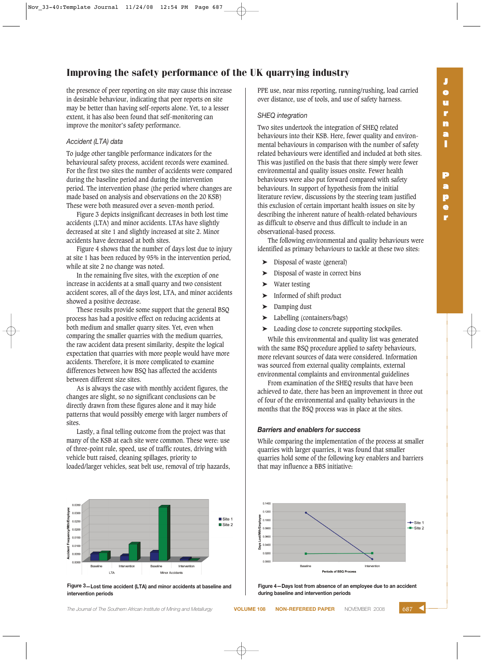the presence of peer reporting on site may cause this increase in desirable behaviour, indicating that peer reports on site may be better than having self-reports alone. Yet, to a lesser extent, it has also been found that self-monitoring can improve the monitor's safety performance.

#### *Accident (LTA) data*

To judge other tangible performance indicators for the behavioural safety process, accident records were examined. For the first two sites the number of accidents were compared during the baseline period and during the intervention period. The intervention phase (the period where changes are made based on analysis and observations on the 20 KSB) These were both measured over a seven-month period.

Figure 3 depicts insignificant decreases in both lost time accidents (LTA) and minor accidents. LTAs have slightly decreased at site 1 and slightly increased at site 2. Minor accidents have decreased at both sites.

Figure 4 shows that the number of days lost due to injury at site 1 has been reduced by 95% in the intervention period, while at site 2 no change was noted.

In the remaining five sites, with the exception of one increase in accidents at a small quarry and two consistent accident scores, all of the days lost, LTA, and minor accidents showed a positive decrease.

These results provide some support that the general BSQ process has had a positive effect on reducing accidents at both medium and smaller quarry sites. Yet, even when comparing the smaller quarries with the medium quarries, the raw accident data present similarity, despite the logical expectation that quarries with more people would have more accidents. Therefore, it is more complicated to examine differences between how BSQ has affected the accidents between different size sites.

As is always the case with monthly accident figures, the changes are slight, so no significant conclusions can be directly drawn from these figures alone and it may hide patterns that would possibly emerge with larger numbers of sites.

Lastly, a final telling outcome from the project was that many of the KSB at each site were common. These were: use of three-point rule, speed, use of traffic routes, driving with vehicle butt raised, cleaning spillages, priority to loaded/larger vehicles, seat belt use, removal of trip hazards,



**Figure 3—Lost time accident (LTA) and minor accidents at baseline and intervention periods**

**The Journal of The Southern African Institute of Mining and Metallurgy <b>VOLUME 108 NON-REFEREED PAPER** NOVEMBER 2008

PPE use, near miss reporting, running/rushing, load carried over distance, use of tools, and use of safety harness.

#### *SHEQ integration*

Two sites undertook the integration of SHEQ related behaviours into their KSB. Here, fewer quality and environmental behaviours in comparison with the number of safety related behaviours were identified and included at both sites. This was justified on the basis that there simply were fewer environmental and quality issues onsite. Fewer health behaviours were also put forward compared with safety behaviours. In support of hypothesis from the initial literature review, discussions by the steering team justified this exclusion of certain important health issues on site by describing the inherent nature of health-related behaviours as difficult to observe and thus difficult to include in an observational-based process.

The following environmental and quality behaviours were identified as primary behaviours to tackle at these two sites:

- Disposal of waste (general)
- Disposal of waste in correct bins
- Water testing
- ➤ Informed of shift product
- Damping dust
- Labelling (containers/bags)
- ➤ Loading close to concrete supporting stockpiles.

While this environmental and quality list was generated with the same BSQ procedure applied to safety behaviours, more relevant sources of data were considered. Information was sourced from external quality complaints, external environmental complaints and environmental guidelines

From examination of the SHEQ results that have been achieved to date, there has been an improvement in three out of four of the environmental and quality behaviours in the months that the BSQ process was in place at the sites.

#### *Barriers and enablers for success*

While comparing the implementation of the process at smaller quarries with larger quarries, it was found that smaller quarries hold some of the following key enablers and barriers that may influence a BBS initiative:



**Figure 4—Days lost from absence of an employee due to an accident during baseline and intervention periods**

**p e r**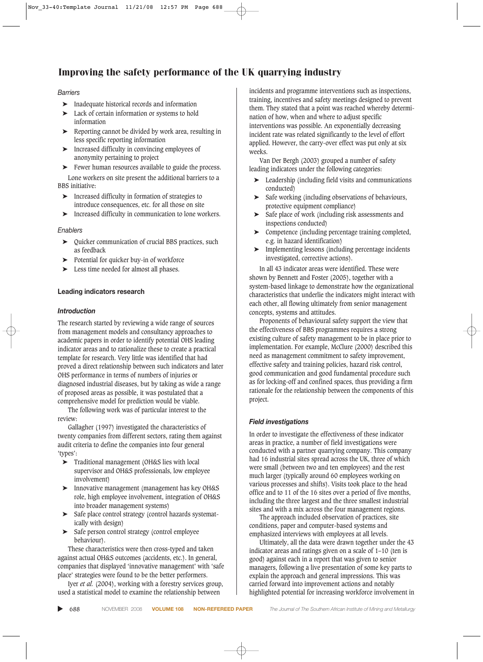#### *Barriers*

- ➤ Inadequate historical records and information
- ➤ Lack of certain information or systems to hold information
- ➤ Reporting cannot be divided by work area, resulting in less specific reporting information
- ➤ Increased difficulty in convincing employees of anonymity pertaining to project
- Fewer human resources available to guide the process. Lone workers on site present the additional barriers to a

BBS initiative:

- ➤ Increased difficulty in formation of strategies to introduce consequences, etc. for all those on site
- ➤ Increased difficulty in communication to lone workers.

#### *Enablers*

- ➤ Quicker communication of crucial BBS practices, such as feedback
- Potential for quicker buy-in of workforce
- ► Less time needed for almost all phases.

#### **Leading indicators research**

#### *Introduction*

The research started by reviewing a wide range of sources from management models and consultancy approaches to academic papers in order to identify potential OHS leading indicator areas and to rationalize these to create a practical template for research. Very little was identified that had proved a direct relationship between such indicators and later OHS performance in terms of numbers of injuries or diagnosed industrial diseases, but by taking as wide a range of proposed areas as possible, it was postulated that a comprehensive model for prediction would be viable.

The following work was of particular interest to the review:

Gallagher (1997) investigated the characteristics of twenty companies from different sectors, rating them against audit criteria to define the companies into four general 'types':

- ➤ Traditional management (OH&S lies with local supervisor and OH&S professionals, low employee involvement)
- ➤ Innovative management (management has key OH&S role, high employee involvement, integration of OH&S into broader management systems)
- ➤ Safe place control strategy (control hazards systematically with design)
- Safe person control strategy (control employee behaviour).

These characteristics were then cross-typed and taken against actual OH&S outcomes (accidents, etc.). In general, companies that displayed 'innovative management' with 'safe place' strategies were found to be the better performers.

Iyer *et al.* (2004), working with a forestry services group, used a statistical model to examine the relationship between

incidents and programme interventions such as inspections, training, incentives and safety meetings designed to prevent them. They stated that a point was reached whereby determination of how, when and where to adjust specific interventions was possible. An exponentially decreasing incident rate was related significantly to the level of effort applied. However, the carry-over effect was put only at six weeks.

Van Der Bergh (2003) grouped a number of safety leading indicators under the following categories:

- ➤ Leadership (including field visits and communications conducted)
- ➤ Safe working (including observations of behaviours, protective equipment compliance)
- ➤ Safe place of work (including risk assessments and inspections conducted)
- ➤ Competence (including percentage training completed, e.g. in hazard identification)
- ➤ Implementing lessons (including percentage incidents investigated, corrective actions).

In all 43 indicator areas were identified. These were shown by Bennett and Foster (2005), together with a system-based linkage to demonstrate how the organizational characteristics that underlie the indicators might interact with each other, all flowing ultimately from senior management concepts, systems and attitudes.

Proponents of behavioural safety support the view that the effectiveness of BBS programmes requires a strong existing culture of safety management to be in place prior to implementation. For example, McClure (2000) described this need as management commitment to safety improvement, effective safety and training policies, hazard risk control, good communication and good fundamental procedure such as for locking-off and confined spaces, thus providing a firm rationale for the relationship between the components of this project.

#### *Field investigations*

In order to investigate the effectiveness of these indicator areas in practice, a number of field investigations were conducted with a partner quarrying company. This company had 16 industrial sites spread across the UK, three of which were small (between two and ten employees) and the rest much larger (typically around 60 employees working on various processes and shifts). Visits took place to the head office and to 11 of the 16 sites over a period of five months, including the three largest and the three smallest industrial sites and with a mix across the four management regions.

The approach included observation of practices, site conditions, paper and computer-based systems and emphasized interviews with employees at all levels.

Ultimately, all the data were drawn together under the 43 indicator areas and ratings given on a scale of 1–10 (ten is good) against each in a report that was given to senior managers, following a live presentation of some key parts to explain the approach and general impressions. This was carried forward into improvement actions and notably highlighted potential for increasing workforce involvement in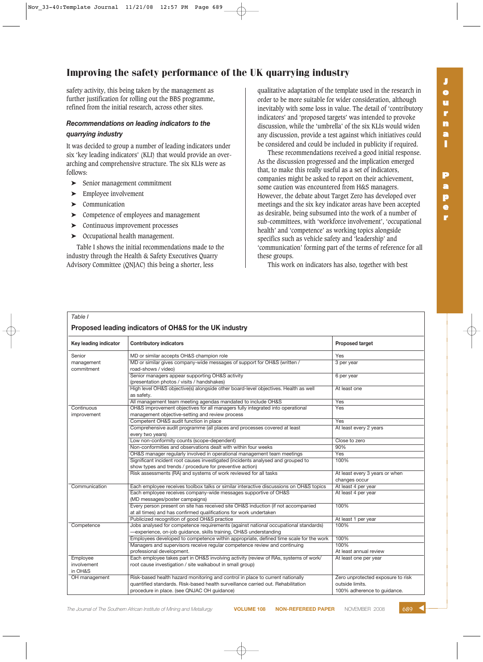safety activity, this being taken by the management as further justification for rolling out the BBS programme, refined from the initial research, across other sites.

# *Recommendations on leading indicators to the quarrying industry*

It was decided to group a number of leading indicators under six 'key leading indicators' (KLI) that would provide an overarching and comprehensive structure. The six KLIs were as follows:

- ➤ Senior management commitment
- ➤ Employee involvement
- ➤ Communication
- ➤ Competence of employees and management
- ➤ Continuous improvement processes
- ➤ Occupational health management.

Table I shows the initial recommendations made to the industry through the Health & Safety Executives Quarry Advisory Committee (QNJAC) this being a shorter, less

qualitative adaptation of the template used in the research in order to be more suitable for wider consideration, although inevitably with some loss in value. The detail of 'contributory indicators' and 'proposed targets' was intended to provoke discussion, while the 'umbrella' of the six KLIs would widen any discussion, provide a test against which initiatives could be considered and could be included in publicity if required.

These recommendations received a good initial response. As the discussion progressed and the implication emerged that, to make this really useful as a set of indicators, companies might be asked to report on their achievement, some caution was encountered from H&S managers. However, the debate about Target Zero has developed over meetings and the six key indicator areas have been accepted as desirable, being subsumed into the work of a number of sub-committees, with 'workforce involvement', 'occupational health' and 'competence' as working topics alongside specifics such as vehicle safety and 'leadership' and 'communication' forming part of the terms of reference for all these groups.

This work on indicators has also, together with best

# *Table I*

| Proposed leading indicators of OH&S for the UK industry |                                                                                                                                                          |                                                 |
|---------------------------------------------------------|----------------------------------------------------------------------------------------------------------------------------------------------------------|-------------------------------------------------|
| Key leading indicator                                   | <b>Contributory indicators</b>                                                                                                                           | <b>Proposed target</b>                          |
| Senior                                                  | MD or similar accepts OH&S champion role                                                                                                                 | Yes                                             |
| management<br>commitment                                | MD or similar gives company-wide messages of support for OH&S (written /<br>road-shows / video)                                                          | 3 per year                                      |
|                                                         | Senior managers appear supporting OH&S activity<br>(presentation photos / visits / handshakes)                                                           | 6 per year                                      |
|                                                         | High level OH&S objective(s) alongside other board-level objectives. Health as well<br>as safety.                                                        | At least one                                    |
|                                                         | All management team meeting agendas mandated to include OH&S                                                                                             | Yes                                             |
| Continuous<br>improvement                               | OH&S improvement objectives for all managers fully integrated into operational<br>management objective-setting and review process                        | Yes                                             |
|                                                         | Competent OH&S audit function in place                                                                                                                   | Yes                                             |
|                                                         | Comprehensive audit programme (all places and processes covered at least<br>every two years)                                                             | At least every 2 years                          |
|                                                         | Low non-conformity counts (scope-dependent)                                                                                                              | Close to zero                                   |
|                                                         | Non-conformities and observations dealt with within four weeks                                                                                           | 90%                                             |
|                                                         | OH&S manager regularly involved in operational management team meetings                                                                                  | Yes                                             |
|                                                         | Significant incident root causes investigated (incidents analysed and grouped to                                                                         | 100%                                            |
|                                                         | show types and trends / procedure for preventive action)                                                                                                 |                                                 |
|                                                         | Risk assessments (RA) and systems of work reviewed for all tasks                                                                                         | At least every 3 years or when<br>changes occur |
| Communication                                           | Each employee receives toolbox talks or similar interactive discussions on OH&S topics                                                                   | At least 4 per year                             |
|                                                         | Each employee receives company-wide messages supportive of OH&S<br>(MD messages/poster campaigns)                                                        | At least 4 per year                             |
|                                                         | Every person present on site has received site OH&S induction (if not accompanied<br>at all times) and has confirmed qualifications for work undertaken  | 100%                                            |
|                                                         | Publicized recognition of good OH&S practice                                                                                                             | At least 1 per year                             |
| Competence                                              | Jobs analysed for competence requirements (against national occupational standards)<br>-experience, on-job guidance, skills training, OH&S understanding | 100%                                            |
|                                                         | Employees developed to competence within appropriate, defined time scale for the work                                                                    | 100%                                            |
|                                                         | Managers and supervisors receive regular competence review and continuing                                                                                | 100%                                            |
|                                                         | professional development.                                                                                                                                | At least annual review                          |
| Employee                                                | Each employee takes part in OH&S involving activity (review of RAs, systems of work/                                                                     | At least one per year                           |
| involvement<br>in OH&S                                  | root cause investigation / site walkabout in small group)                                                                                                |                                                 |
| OH management                                           | Risk-based health hazard monitoring and control in place to current nationally                                                                           | Zero unprotected exposure to risk               |
|                                                         | quantified standards. Risk-based health surveillance carried out. Rehabilitation                                                                         | outside limits.                                 |
|                                                         | procedure in place. (see QNJAC OH guidance)                                                                                                              | 100% adherence to guidance.                     |

**r**